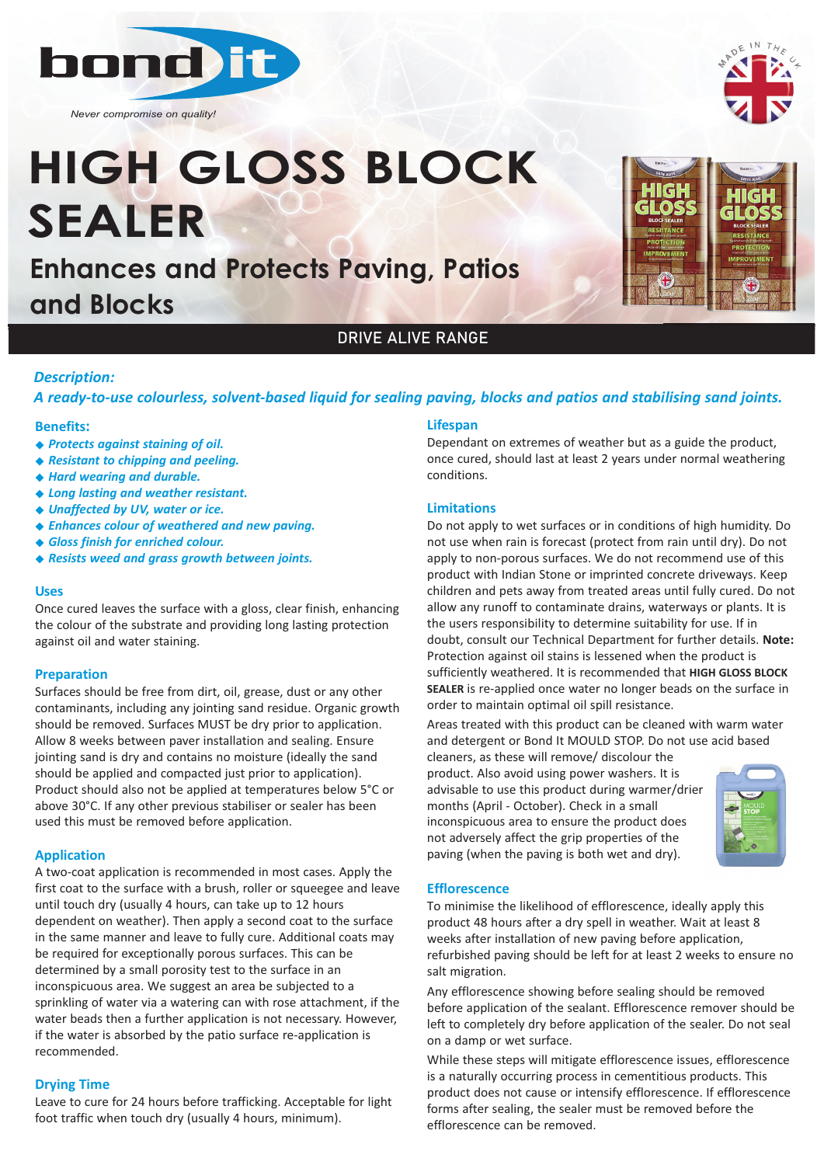

*Never compromise on quality!*

# **HIGH GLOSS BLOCK SEALER**

**Enhances and Protects Paving, Patios and Blocks**



## DRIVE ALIVE RANGE

### *Description:*

*A ready‐to‐use colourless, solvent‐based liquid for sealing paving, blocks and patios and stabilising sand joints.* 

#### **Benefits:**

- <sup>u</sup> *Protects against staining of oil.*
- u *Resistant to chipping and peeling.*
- <sup>u</sup> *Hard wearing and durable.*
- <sup>u</sup> *Long lasting and weather resistant.*
- ◆ Unaffected by UV, water or ice.
- ◆ Enhances colour of weathered and new paving.
- <sup>u</sup> *Gloss finish for enriched colour.*
- ◆ Resists weed and grass growth between joints.

#### **Uses**

Once cured leaves the surface with a gloss, clear finish, enhancing the colour of the substrate and providing long lasting protection against oil and water staining.

### **Preparation**

Surfaces should be free from dirt, oil, grease, dust or any other contaminants, including any jointing sand residue. Organic growth should be removed. Surfaces MUST be dry prior to application. Allow 8 weeks between paver installation and sealing. Ensure jointing sand is dry and contains no moisture (ideally the sand should be applied and compacted just prior to application). Product should also not be applied at temperatures below 5°C or above 30°C. If any other previous stabiliser or sealer has been used this must be removed before application.

### **Application**

A two-coat application is recommended in most cases. Apply the first coat to the surface with a brush, roller or squeegee and leave until touch dry (usually 4 hours, can take up to 12 hours dependent on weather). Then apply a second coat to the surface in the same manner and leave to fully cure. Additional coats may be required for exceptionally porous surfaces. This can be determined by a small porosity test to the surface in an inconspicuous area. We suggest an area be subjected to a sprinkling of water via a watering can with rose attachment, if the water beads then a further application is not necessary. However, if the water is absorbed by the patio surface re-application is recommended.

### **Drying Time**

Leave to cure for 24 hours before trafficking. Acceptable for light foot traffic when touch dry (usually 4 hours, minimum).

#### **Lifespan**

Dependant on extremes of weather but as a guide the product, once cured, should last at least 2 years under normal weathering conditions.

### **Limitations**

Do not apply to wet surfaces or in conditions of high humidity. Do not use when rain is forecast (protect from rain until dry). Do not apply to non-porous surfaces. We do not recommend use of this product with Indian Stone or imprinted concrete driveways. Keep children and pets away from treated areas until fully cured. Do not allow any runoff to contaminate drains, waterways or plants. It is the users responsibility to determine suitability for use. If in doubt, consult our Technical Department for further details. **Note:** Protection against oil stains is lessened when the product is sufficiently weathered. It is recommended that **HIGH GLOSS BLOCK SEALER** is re-applied once water no longer beads on the surface in order to maintain optimal oil spill resistance.

Areas treated with this product can be cleaned with warm water and detergent or Bond It MOULD STOP. Do not use acid based

cleaners, as these will remove/ discolour the product. Also avoid using power washers. It is advisable to use this product during warmer/drier months (April - October). Check in a small inconspicuous area to ensure the product does not adversely affect the grip properties of the paving (when the paving is both wet and dry).



### **Efflorescence**

To minimise the likelihood of efflorescence, ideally apply this product 48 hours after a dry spell in weather. Wait at least 8 weeks after installation of new paving before application, refurbished paving should be left for at least 2 weeks to ensure no salt migration.

Any efflorescence showing before sealing should be removed before application of the sealant. Efflorescence remover should be left to completely dry before application of the sealer. Do not seal on a damp or wet surface.

While these steps will mitigate efflorescence issues, efflorescence is a naturally occurring process in cementitious products. This product does not cause or intensify efflorescence. If efflorescence forms after sealing, the sealer must be removed before the efflorescence can be removed.